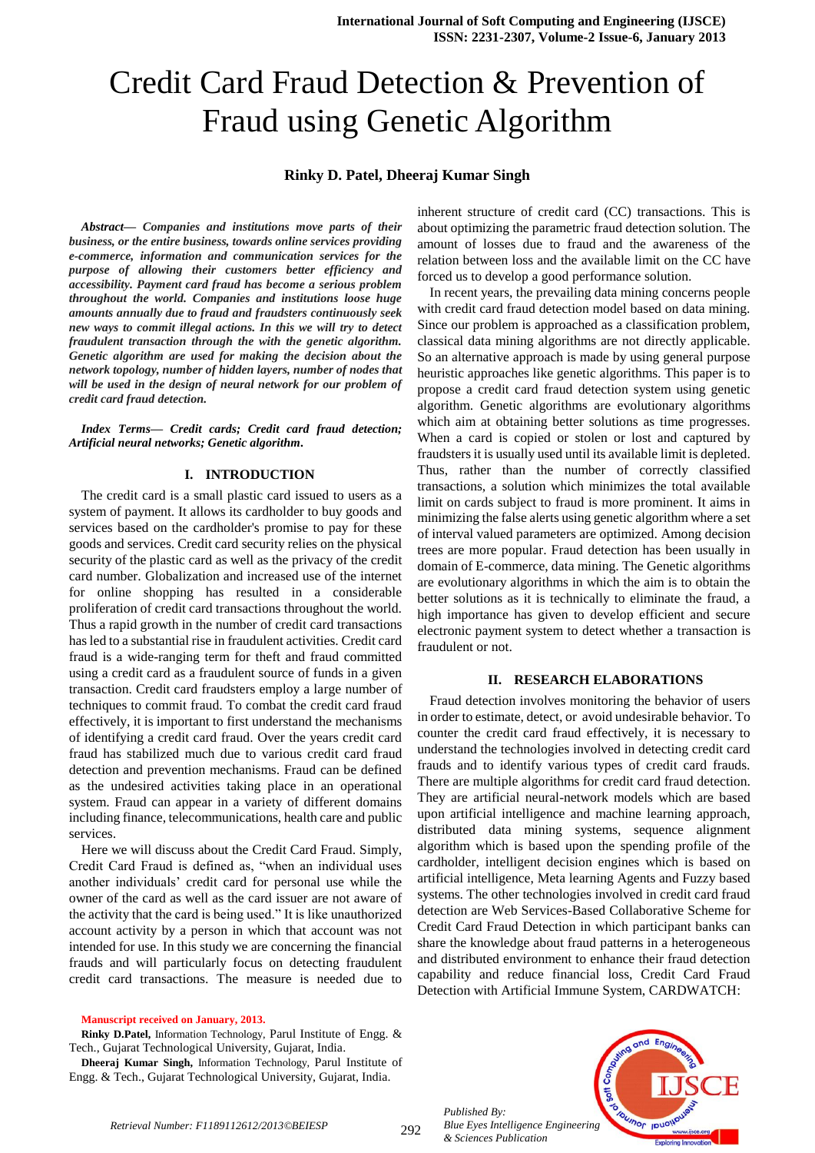# Credit Card Fraud Detection & Prevention of Fraud using Genetic Algorithm

# **Rinky D. Patel, Dheeraj Kumar Singh**

*Abstract— Companies and institutions move parts of their business, or the entire business, towards online services providing e-commerce, information and communication services for the purpose of allowing their customers better efficiency and accessibility. Payment card fraud has become a serious problem throughout the world. Companies and institutions loose huge amounts annually due to fraud and fraudsters continuously seek new ways to commit illegal actions. In this we will try to detect fraudulent transaction through the with the genetic algorithm. Genetic algorithm are used for making the decision about the network topology, number of hidden layers, number of nodes that will be used in the design of neural network for our problem of credit card fraud detection.*

*Index Terms— Credit cards; Credit card fraud detection; Artificial neural networks; Genetic algorithm.*

## **I. INTRODUCTION**

The credit card is a small plastic card issued to users as a system of payment. It allows its cardholder to buy goods and services based on the cardholder's promise to pay for these goods and services. Credit card security relies on the physical security of the plastic card as well as the privacy of the credit card number. Globalization and increased use of the internet for online shopping has resulted in a considerable proliferation of credit card transactions throughout the world. Thus a rapid growth in the number of credit card transactions has led to a substantial rise in fraudulent activities. Credit card fraud is a wide-ranging term for theft and fraud committed using a credit card as a fraudulent source of funds in a given transaction. Credit card fraudsters employ a large number of techniques to commit fraud. To combat the credit card fraud effectively, it is important to first understand the mechanisms of identifying a credit card fraud. Over the years credit card fraud has stabilized much due to various credit card fraud detection and prevention mechanisms. Fraud can be defined as the undesired activities taking place in an operational system. Fraud can appear in a variety of different domains including finance, telecommunications, health care and public services.

Here we will discuss about the Credit Card Fraud. Simply, Credit Card Fraud is defined as, "when an individual uses another individuals' credit card for personal use while the owner of the card as well as the card issuer are not aware of the activity that the card is being used." It is like unauthorized account activity by a person in which that account was not intended for use. In this study we are concerning the financial frauds and will particularly focus on detecting fraudulent credit card transactions. The measure is needed due to

#### **Manuscript received on January, 2013.**

**Rinky D.Patel,** Information Technology, Parul Institute of Engg. & Tech., Gujarat Technological University, Gujarat, India.

**Dheeraj Kumar Singh,** Information Technology, Parul Institute of Engg. & Tech., Gujarat Technological University, Gujarat, India.

inherent structure of credit card (CC) transactions. This is about optimizing the parametric fraud detection solution. The amount of losses due to fraud and the awareness of the relation between loss and the available limit on the CC have forced us to develop a good performance solution.

In recent years, the prevailing data mining concerns people with credit card fraud detection model based on data mining. Since our problem is approached as a classification problem, classical data mining algorithms are not directly applicable. So an alternative approach is made by using general purpose heuristic approaches like genetic algorithms. This paper is to propose a credit card fraud detection system using genetic algorithm. Genetic algorithms are evolutionary algorithms which aim at obtaining better solutions as time progresses. When a card is copied or stolen or lost and captured by fraudsters it is usually used until its available limit is depleted. Thus, rather than the number of correctly classified transactions, a solution which minimizes the total available limit on cards subject to fraud is more prominent. It aims in minimizing the false alerts using genetic algorithm where a set of interval valued parameters are optimized. Among decision trees are more popular. Fraud detection has been usually in domain of E-commerce, data mining. The Genetic algorithms are evolutionary algorithms in which the aim is to obtain the better solutions as it is technically to eliminate the fraud, a high importance has given to develop efficient and secure electronic payment system to detect whether a transaction is fraudulent or not.

#### **II. RESEARCH ELABORATIONS**

Fraud detection involves monitoring the behavior of users in order to estimate, detect, or avoid undesirable behavior. To counter the credit card fraud effectively, it is necessary to understand the technologies involved in detecting credit card frauds and to identify various types of credit card frauds. There are multiple algorithms for credit card fraud detection. They are artificial neural-network models which are based upon artificial intelligence and machine learning approach, distributed data mining systems, sequence alignment algorithm which is based upon the spending profile of the cardholder, intelligent decision engines which is based on artificial intelligence, Meta learning Agents and Fuzzy based systems. The other technologies involved in credit card fraud detection are Web Services-Based Collaborative Scheme for Credit Card Fraud Detection in which participant banks can share the knowledge about fraud patterns in a heterogeneous and distributed environment to enhance their fraud detection capability and reduce financial loss, Credit Card Fraud Detection with Artificial Immune System, CARDWATCH:

*Published By: Blue Eyes Intelligence Engineering & Sciences Publication* 

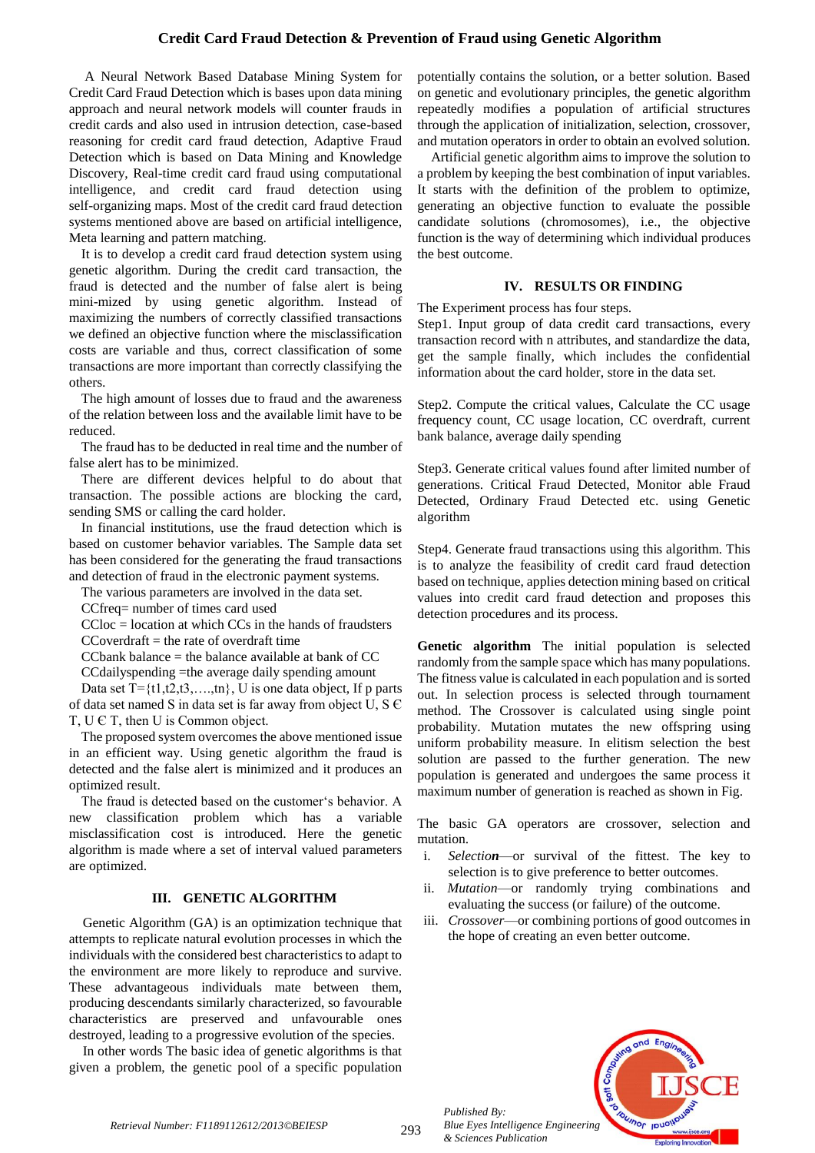# **Credit Card Fraud Detection & Prevention of Fraud using Genetic Algorithm**

A Neural Network Based Database Mining System for Credit Card Fraud Detection which is bases upon data mining approach and neural network models will counter frauds in credit cards and also used in intrusion detection, case-based reasoning for credit card fraud detection, Adaptive Fraud Detection which is based on Data Mining and Knowledge Discovery, Real-time credit card fraud using computational intelligence, and credit card fraud detection using self-organizing maps. Most of the credit card fraud detection systems mentioned above are based on artificial intelligence, Meta learning and pattern matching.

It is to develop a credit card fraud detection system using genetic algorithm. During the credit card transaction, the fraud is detected and the number of false alert is being mini-mized by using genetic algorithm. Instead of maximizing the numbers of correctly classified transactions we defined an objective function where the misclassification costs are variable and thus, correct classification of some transactions are more important than correctly classifying the others.

The high amount of losses due to fraud and the awareness of the relation between loss and the available limit have to be reduced.

The fraud has to be deducted in real time and the number of false alert has to be minimized.

There are different devices helpful to do about that transaction. The possible actions are blocking the card, sending SMS or calling the card holder.

In financial institutions, use the fraud detection which is based on customer behavior variables. The Sample data set has been considered for the generating the fraud transactions and detection of fraud in the electronic payment systems.

The various parameters are involved in the data set.

CCfreq= number of times card used

 $CCloc = location$  at which  $CCs$  in the hands of fraudsters  $CCoverdr =$  the rate of overdraft time

CCbank balance  $=$  the balance available at bank of CC

CCdailyspending =the average daily spending amount

Data set  $T = \{t1, t2, t3, \ldots, t_n\}$ , U is one data object, If p parts of data set named S in data set is far away from object U, S Є T, U Є T, then U is Common object.

The proposed system overcomes the above mentioned issue in an efficient way. Using genetic algorithm the fraud is detected and the false alert is minimized and it produces an optimized result.

The fraud is detected based on the customer's behavior. A new classification problem which has a variable misclassification cost is introduced. Here the genetic algorithm is made where a set of interval valued parameters are optimized.

## **III. GENETIC ALGORITHM**

Genetic Algorithm (GA) is an optimization technique that attempts to replicate natural evolution processes in which the individuals with the considered best characteristics to adapt to the environment are more likely to reproduce and survive. These advantageous individuals mate between them, producing descendants similarly characterized, so favourable characteristics are preserved and unfavourable ones destroyed, leading to a progressive evolution of the species.

In other words The basic idea of genetic algorithms is that given a problem, the genetic pool of a specific population

potentially contains the solution, or a better solution. Based on genetic and evolutionary principles, the genetic algorithm repeatedly modifies a population of artificial structures through the application of initialization, selection, crossover, and mutation operators in order to obtain an evolved solution.

Artificial genetic algorithm aims to improve the solution to a problem by keeping the best combination of input variables. It starts with the definition of the problem to optimize, generating an objective function to evaluate the possible candidate solutions (chromosomes), i.e., the objective function is the way of determining which individual produces the best outcome.

### **IV. RESULTS OR FINDING**

The Experiment process has four steps.

Step1. Input group of data credit card transactions, every transaction record with n attributes, and standardize the data, get the sample finally, which includes the confidential information about the card holder, store in the data set.

Step2. Compute the critical values, Calculate the CC usage frequency count, CC usage location, CC overdraft, current bank balance, average daily spending

Step3. Generate critical values found after limited number of generations. Critical Fraud Detected, Monitor able Fraud Detected, Ordinary Fraud Detected etc. using Genetic algorithm

Step4. Generate fraud transactions using this algorithm. This is to analyze the feasibility of credit card fraud detection based on technique, applies detection mining based on critical values into credit card fraud detection and proposes this detection procedures and its process.

**Genetic algorithm** The initial population is selected randomly from the sample space which has many populations. The fitness value is calculated in each population and is sorted out. In selection process is selected through tournament method. The Crossover is calculated using single point probability. Mutation mutates the new offspring using uniform probability measure. In elitism selection the best solution are passed to the further generation. The new population is generated and undergoes the same process it maximum number of generation is reached as shown in Fig.

The basic GA operators are crossover, selection and mutation.

- i. *Selection*—or survival of the fittest. The key to selection is to give preference to better outcomes.
- ii. *Mutation*—or randomly trying combinations and evaluating the success (or failure) of the outcome.
- iii. *Crossover*—or combining portions of good outcomes in the hope of creating an even better outcome.



*Published By:*

*& Sciences Publication*